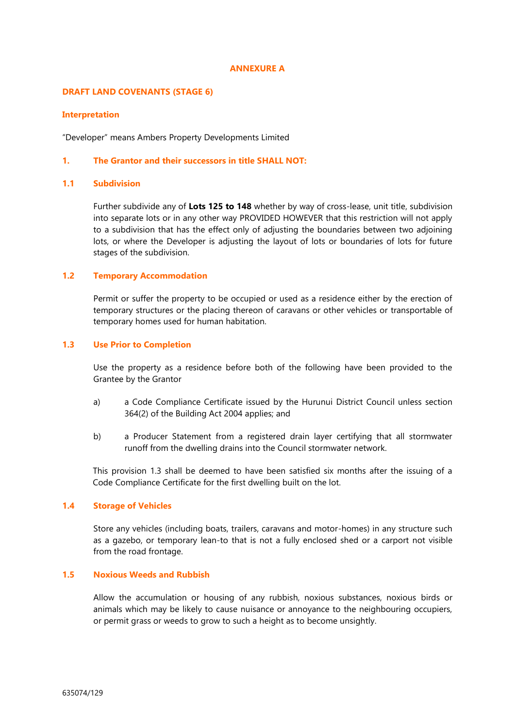### **ANNEXURE A**

## **DRAFT LAND COVENANTS (STAGE 6)**

#### **Interpretation**

"Developer" means Ambers Property Developments Limited

# **1. The Grantor and their successors in title SHALL NOT:**

# **1.1 Subdivision**

Further subdivide any of **Lots 125 to 148** whether by way of cross-lease, unit title, subdivision into separate lots or in any other way PROVIDED HOWEVER that this restriction will not apply to a subdivision that has the effect only of adjusting the boundaries between two adjoining lots, or where the Developer is adjusting the layout of lots or boundaries of lots for future stages of the subdivision.

## **1.2 Temporary Accommodation**

Permit or suffer the property to be occupied or used as a residence either by the erection of temporary structures or the placing thereon of caravans or other vehicles or transportable of temporary homes used for human habitation.

## **1.3 Use Prior to Completion**

Use the property as a residence before both of the following have been provided to the Grantee by the Grantor

- a) a Code Compliance Certificate issued by the Hurunui District Council unless section 364(2) of the Building Act 2004 applies; and
- b) a Producer Statement from a registered drain layer certifying that all stormwater runoff from the dwelling drains into the Council stormwater network.

This provision 1.3 shall be deemed to have been satisfied six months after the issuing of a Code Compliance Certificate for the first dwelling built on the lot.

# **1.4 Storage of Vehicles**

Store any vehicles (including boats, trailers, caravans and motor-homes) in any structure such as a gazebo, or temporary lean-to that is not a fully enclosed shed or a carport not visible from the road frontage.

# **1.5 Noxious Weeds and Rubbish**

Allow the accumulation or housing of any rubbish, noxious substances, noxious birds or animals which may be likely to cause nuisance or annoyance to the neighbouring occupiers, or permit grass or weeds to grow to such a height as to become unsightly.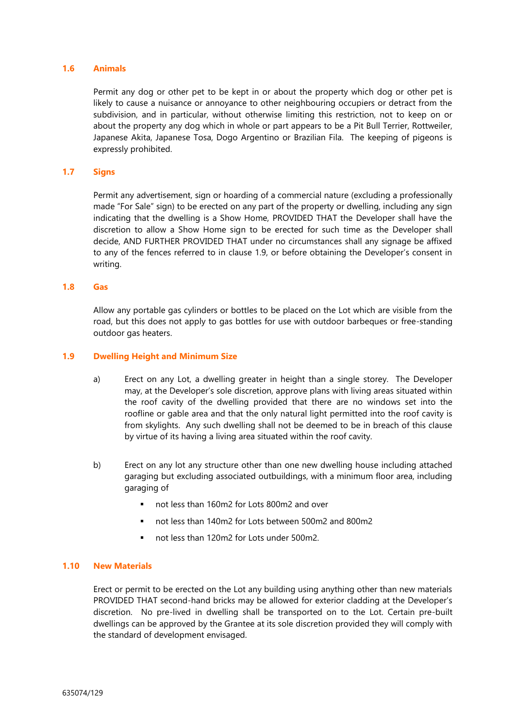# **1.6 Animals**

Permit any dog or other pet to be kept in or about the property which dog or other pet is likely to cause a nuisance or annoyance to other neighbouring occupiers or detract from the subdivision, and in particular, without otherwise limiting this restriction, not to keep on or about the property any dog which in whole or part appears to be a Pit Bull Terrier, Rottweiler, Japanese Akita, Japanese Tosa, Dogo Argentino or Brazilian Fila. The keeping of pigeons is expressly prohibited.

## **1.7 Signs**

Permit any advertisement, sign or hoarding of a commercial nature (excluding a professionally made "For Sale" sign) to be erected on any part of the property or dwelling, including any sign indicating that the dwelling is a Show Home, PROVIDED THAT the Developer shall have the discretion to allow a Show Home sign to be erected for such time as the Developer shall decide, AND FURTHER PROVIDED THAT under no circumstances shall any signage be affixed to any of the fences referred to in clause 1.9, or before obtaining the Developer's consent in writing.

#### **1.8 Gas**

Allow any portable gas cylinders or bottles to be placed on the Lot which are visible from the road, but this does not apply to gas bottles for use with outdoor barbeques or free-standing outdoor gas heaters.

# **1.9 Dwelling Height and Minimum Size**

- a) Erect on any Lot, a dwelling greater in height than a single storey. The Developer may, at the Developer's sole discretion, approve plans with living areas situated within the roof cavity of the dwelling provided that there are no windows set into the roofline or gable area and that the only natural light permitted into the roof cavity is from skylights. Any such dwelling shall not be deemed to be in breach of this clause by virtue of its having a living area situated within the roof cavity.
- b) Erect on any lot any structure other than one new dwelling house including attached garaging but excluding associated outbuildings, with a minimum floor area, including garaging of
	- not less than 160m2 for Lots 800m2 and over
	- not less than 140m2 for Lots between 500m2 and 800m2
	- not less than 120m2 for Lots under 500m2.

# **1.10 New Materials**

Erect or permit to be erected on the Lot any building using anything other than new materials PROVIDED THAT second-hand bricks may be allowed for exterior cladding at the Developer's discretion. No pre-lived in dwelling shall be transported on to the Lot. Certain pre-built dwellings can be approved by the Grantee at its sole discretion provided they will comply with the standard of development envisaged.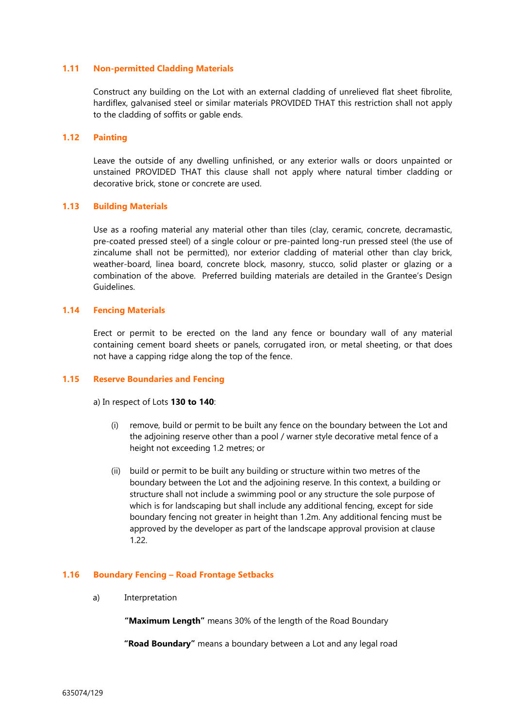# **1.11 Non-permitted Cladding Materials**

Construct any building on the Lot with an external cladding of unrelieved flat sheet fibrolite, hardiflex, galvanised steel or similar materials PROVIDED THAT this restriction shall not apply to the cladding of soffits or gable ends.

# **1.12 Painting**

Leave the outside of any dwelling unfinished, or any exterior walls or doors unpainted or unstained PROVIDED THAT this clause shall not apply where natural timber cladding or decorative brick, stone or concrete are used.

#### **1.13 Building Materials**

Use as a roofing material any material other than tiles (clay, ceramic, concrete, decramastic, pre-coated pressed steel) of a single colour or pre-painted long-run pressed steel (the use of zincalume shall not be permitted), nor exterior cladding of material other than clay brick, weather-board, linea board, concrete block, masonry, stucco, solid plaster or glazing or a combination of the above. Preferred building materials are detailed in the Grantee's Design Guidelines.

# **1.14 Fencing Materials**

Erect or permit to be erected on the land any fence or boundary wall of any material containing cement board sheets or panels, corrugated iron, or metal sheeting, or that does not have a capping ridge along the top of the fence.

#### **1.15 Reserve Boundaries and Fencing**

a) In respect of Lots **130 to 140**:

- (i) remove, build or permit to be built any fence on the boundary between the Lot and the adjoining reserve other than a pool / warner style decorative metal fence of a height not exceeding 1.2 metres; or
- (ii) build or permit to be built any building or structure within two metres of the boundary between the Lot and the adjoining reserve. In this context, a building or structure shall not include a swimming pool or any structure the sole purpose of which is for landscaping but shall include any additional fencing, except for side boundary fencing not greater in height than 1.2m. Any additional fencing must be approved by the developer as part of the landscape approval provision at clause 1.22.

#### **1.16 Boundary Fencing – Road Frontage Setbacks**

a) Interpretation

**"Maximum Length"** means 30% of the length of the Road Boundary

**"Road Boundary"** means a boundary between a Lot and any legal road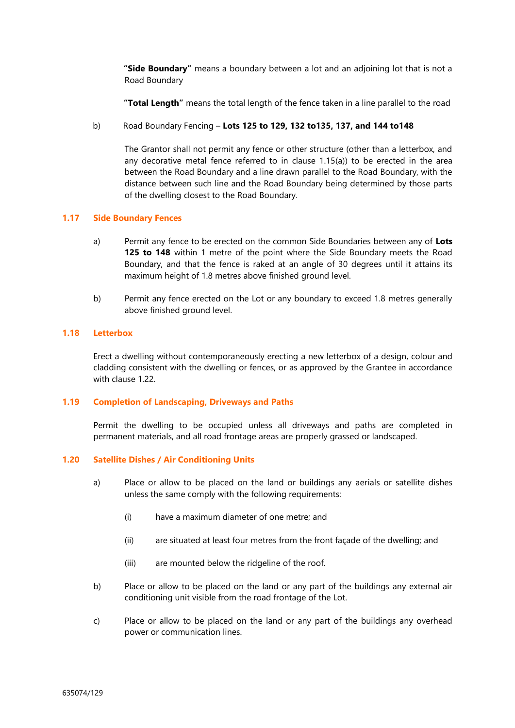**"Side Boundary"** means a boundary between a lot and an adjoining lot that is not a Road Boundary

**"Total Length"** means the total length of the fence taken in a line parallel to the road

## b) Road Boundary Fencing – **Lots 125 to 129, 132 to135, 137, and 144 to148**

The Grantor shall not permit any fence or other structure (other than a letterbox, and any decorative metal fence referred to in clause 1.15(a)) to be erected in the area between the Road Boundary and a line drawn parallel to the Road Boundary, with the distance between such line and the Road Boundary being determined by those parts of the dwelling closest to the Road Boundary.

#### **1.17 Side Boundary Fences**

- a) Permit any fence to be erected on the common Side Boundaries between any of **Lots 125 to 148** within 1 metre of the point where the Side Boundary meets the Road Boundary, and that the fence is raked at an angle of 30 degrees until it attains its maximum height of 1.8 metres above finished ground level.
- b) Permit any fence erected on the Lot or any boundary to exceed 1.8 metres generally above finished ground level.

## **1.18 Letterbox**

Erect a dwelling without contemporaneously erecting a new letterbox of a design, colour and cladding consistent with the dwelling or fences, or as approved by the Grantee in accordance with clause 1.22.

## **1.19 Completion of Landscaping, Driveways and Paths**

Permit the dwelling to be occupied unless all driveways and paths are completed in permanent materials, and all road frontage areas are properly grassed or landscaped.

### **1.20 Satellite Dishes / Air Conditioning Units**

- a) Place or allow to be placed on the land or buildings any aerials or satellite dishes unless the same comply with the following requirements:
	- (i) have a maximum diameter of one metre; and
	- (ii) are situated at least four metres from the front façade of the dwelling; and
	- (iii) are mounted below the ridgeline of the roof.
- b) Place or allow to be placed on the land or any part of the buildings any external air conditioning unit visible from the road frontage of the Lot.
- c) Place or allow to be placed on the land or any part of the buildings any overhead power or communication lines.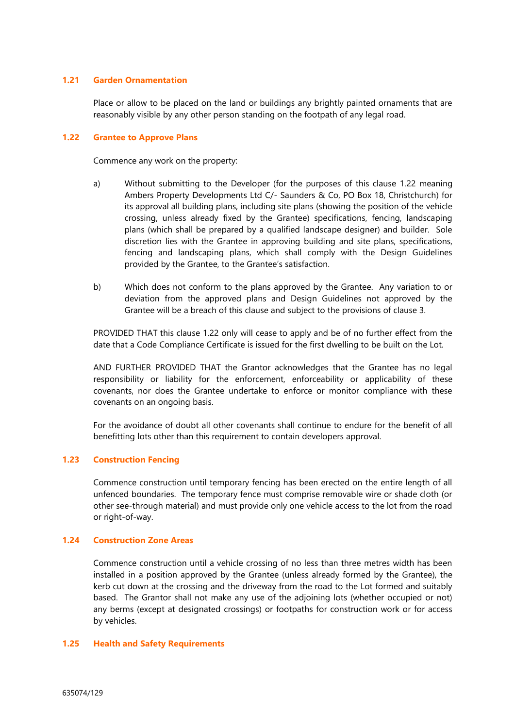# **1.21 Garden Ornamentation**

Place or allow to be placed on the land or buildings any brightly painted ornaments that are reasonably visible by any other person standing on the footpath of any legal road.

### **1.22 Grantee to Approve Plans**

Commence any work on the property:

- a) Without submitting to the Developer (for the purposes of this clause 1.22 meaning Ambers Property Developments Ltd C/- Saunders & Co, PO Box 18, Christchurch) for its approval all building plans, including site plans (showing the position of the vehicle crossing, unless already fixed by the Grantee) specifications, fencing, landscaping plans (which shall be prepared by a qualified landscape designer) and builder. Sole discretion lies with the Grantee in approving building and site plans, specifications, fencing and landscaping plans, which shall comply with the Design Guidelines provided by the Grantee, to the Grantee's satisfaction.
- b) Which does not conform to the plans approved by the Grantee. Any variation to or deviation from the approved plans and Design Guidelines not approved by the Grantee will be a breach of this clause and subject to the provisions of clause 3.

PROVIDED THAT this clause 1.22 only will cease to apply and be of no further effect from the date that a Code Compliance Certificate is issued for the first dwelling to be built on the Lot.

AND FURTHER PROVIDED THAT the Grantor acknowledges that the Grantee has no legal responsibility or liability for the enforcement, enforceability or applicability of these covenants, nor does the Grantee undertake to enforce or monitor compliance with these covenants on an ongoing basis.

For the avoidance of doubt all other covenants shall continue to endure for the benefit of all benefitting lots other than this requirement to contain developers approval.

# **1.23 Construction Fencing**

Commence construction until temporary fencing has been erected on the entire length of all unfenced boundaries. The temporary fence must comprise removable wire or shade cloth (or other see-through material) and must provide only one vehicle access to the lot from the road or right-of-way.

# **1.24 Construction Zone Areas**

Commence construction until a vehicle crossing of no less than three metres width has been installed in a position approved by the Grantee (unless already formed by the Grantee), the kerb cut down at the crossing and the driveway from the road to the Lot formed and suitably based. The Grantor shall not make any use of the adjoining lots (whether occupied or not) any berms (except at designated crossings) or footpaths for construction work or for access by vehicles.

#### **1.25 Health and Safety Requirements**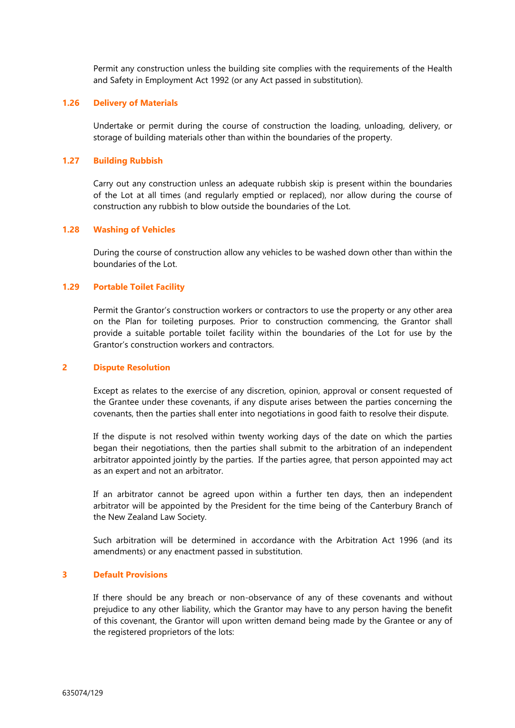Permit any construction unless the building site complies with the requirements of the Health and Safety in Employment Act 1992 (or any Act passed in substitution).

### **1.26 Delivery of Materials**

Undertake or permit during the course of construction the loading, unloading, delivery, or storage of building materials other than within the boundaries of the property.

#### **1.27 Building Rubbish**

Carry out any construction unless an adequate rubbish skip is present within the boundaries of the Lot at all times (and regularly emptied or replaced), nor allow during the course of construction any rubbish to blow outside the boundaries of the Lot.

# **1.28 Washing of Vehicles**

During the course of construction allow any vehicles to be washed down other than within the boundaries of the Lot.

#### **1.29 Portable Toilet Facility**

Permit the Grantor's construction workers or contractors to use the property or any other area on the Plan for toileting purposes. Prior to construction commencing, the Grantor shall provide a suitable portable toilet facility within the boundaries of the Lot for use by the Grantor's construction workers and contractors.

### **2 Dispute Resolution**

Except as relates to the exercise of any discretion, opinion, approval or consent requested of the Grantee under these covenants, if any dispute arises between the parties concerning the covenants, then the parties shall enter into negotiations in good faith to resolve their dispute.

If the dispute is not resolved within twenty working days of the date on which the parties began their negotiations, then the parties shall submit to the arbitration of an independent arbitrator appointed jointly by the parties. If the parties agree, that person appointed may act as an expert and not an arbitrator.

If an arbitrator cannot be agreed upon within a further ten days, then an independent arbitrator will be appointed by the President for the time being of the Canterbury Branch of the New Zealand Law Society.

Such arbitration will be determined in accordance with the Arbitration Act 1996 (and its amendments) or any enactment passed in substitution.

## **3 Default Provisions**

If there should be any breach or non-observance of any of these covenants and without prejudice to any other liability, which the Grantor may have to any person having the benefit of this covenant, the Grantor will upon written demand being made by the Grantee or any of the registered proprietors of the lots: